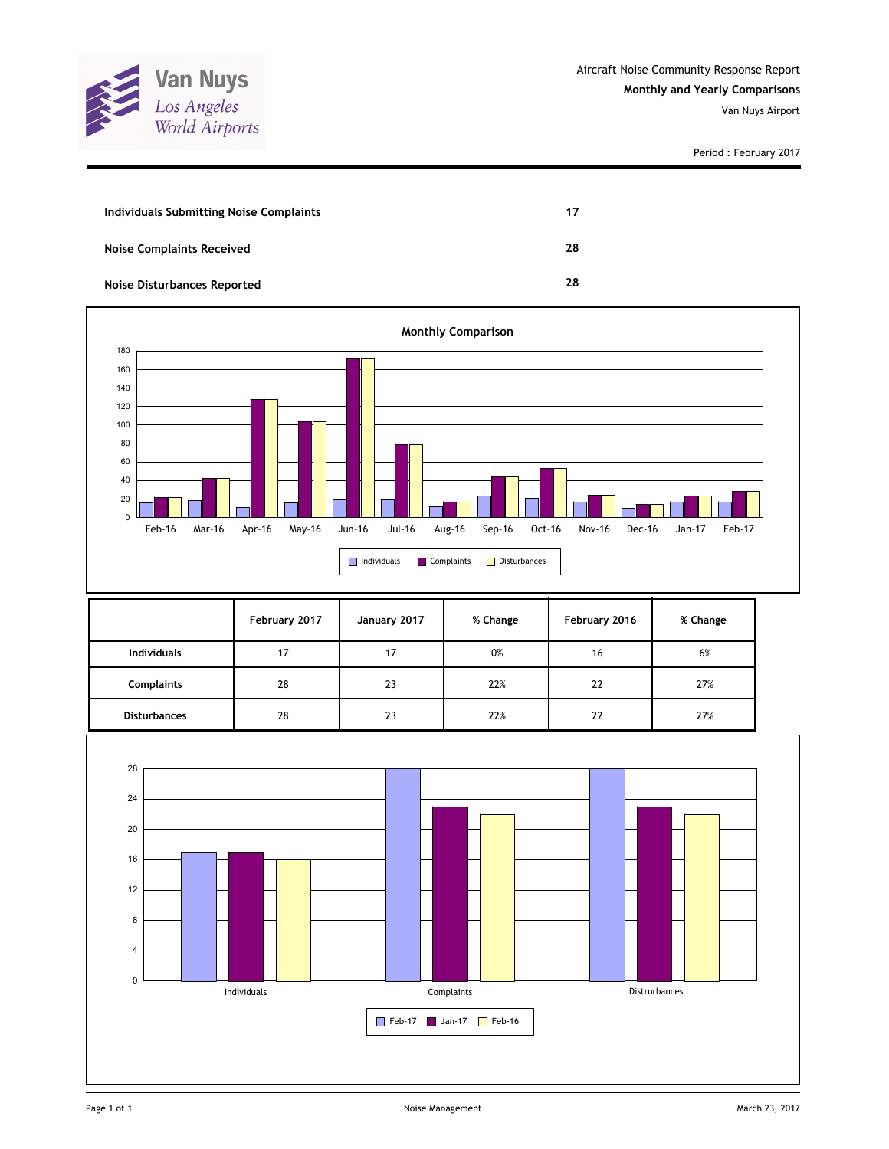

Period : February 2017

| Individuals Submitting Noise Complaints | 17 |
|-----------------------------------------|----|
| <b>Noise Complaints Received</b>        | 28 |
| <b>Noise Disturbances Reported</b>      | 28 |



|                     | February 2017 | January 2017 | % Change | February 2016 | % Change |
|---------------------|---------------|--------------|----------|---------------|----------|
| <b>Individuals</b>  | 17            | 17           | 0%       | 16            | 6%       |
| <b>Complaints</b>   | 28            | 23           | 22%      | 22            | 27%      |
| <b>Disturbances</b> | 28            | 23           | 22%      | 22            | 27%      |

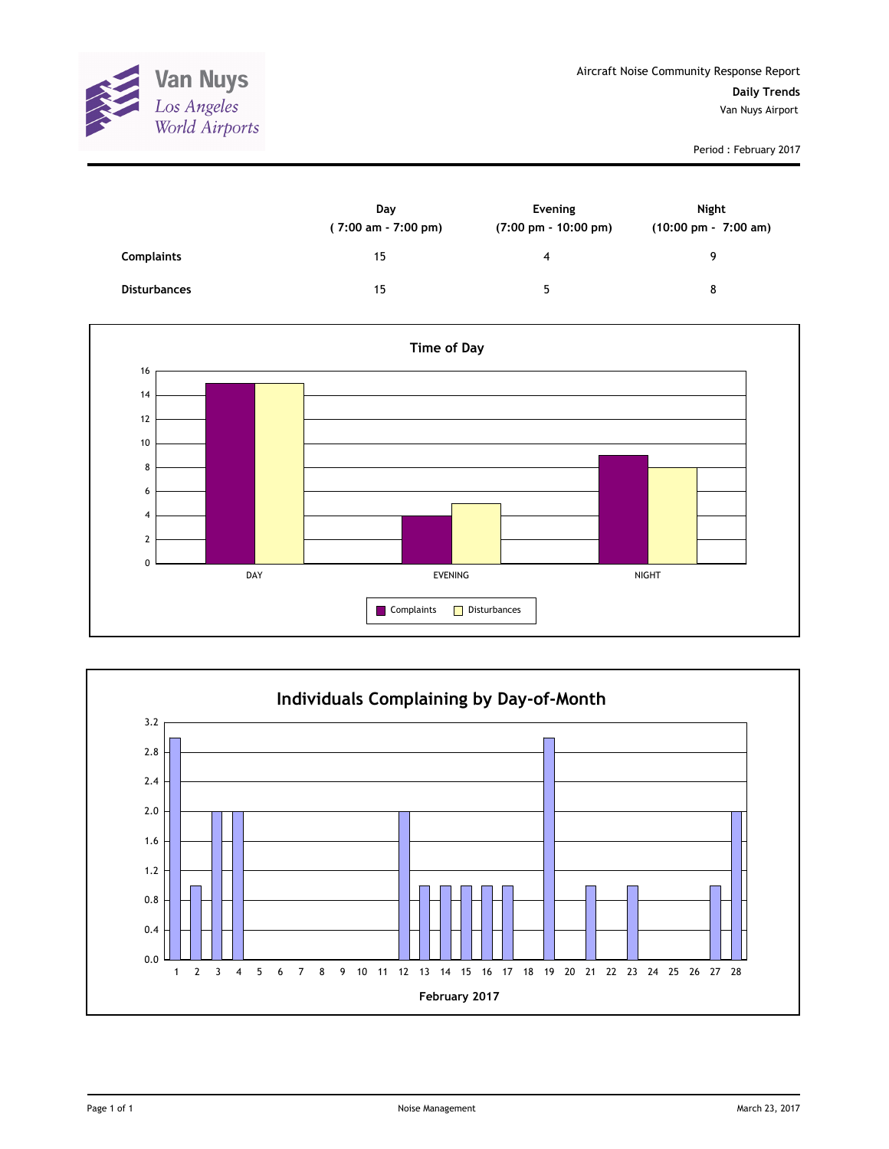

Period : February 2017

|                     | Day<br>$(7:00 \text{ am} - 7:00 \text{ pm})$ | Evening<br>$(7:00 \text{ pm} - 10:00 \text{ pm})$ | Night<br>(10:00 pm - 7:00 am) |
|---------------------|----------------------------------------------|---------------------------------------------------|-------------------------------|
| <b>Complaints</b>   | 15                                           | 4                                                 | q                             |
| <b>Disturbances</b> | 15                                           | 5                                                 | 8                             |



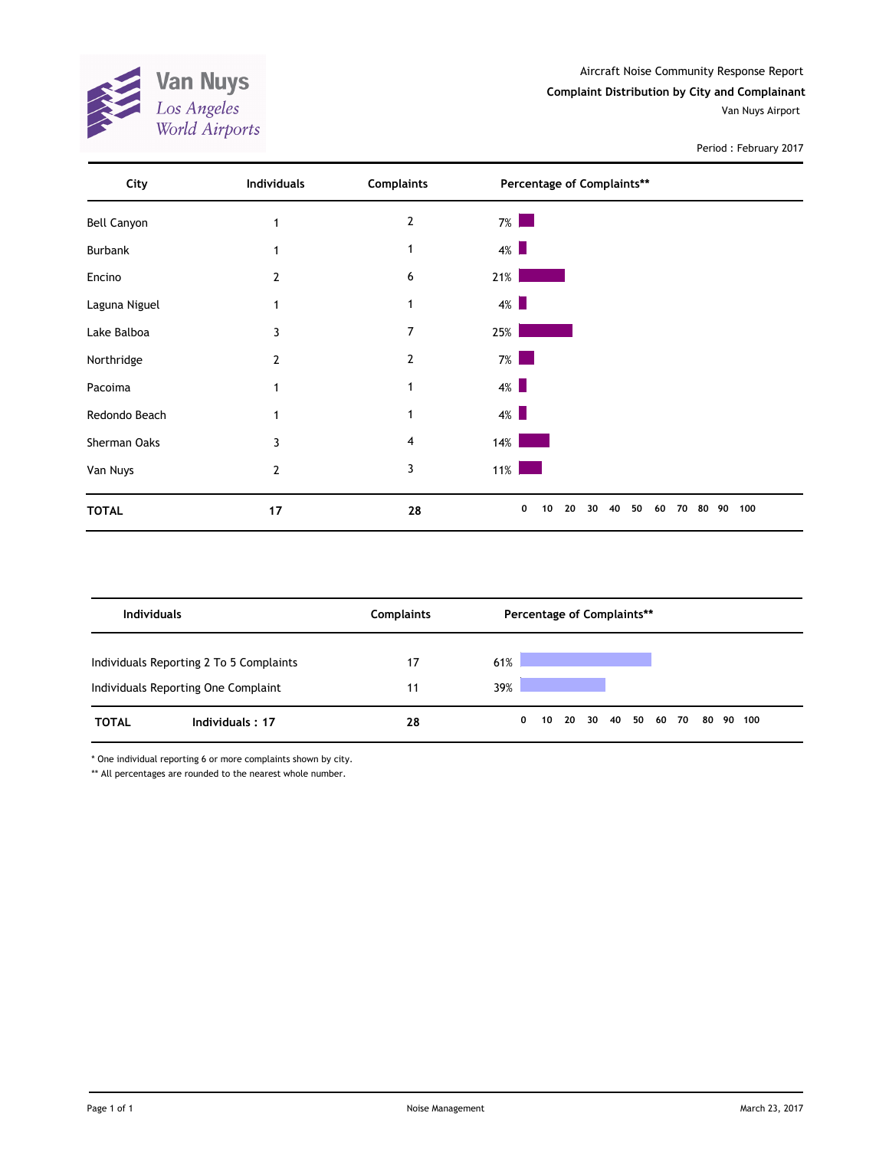**Van Nuys**<br>*Los Angeles*<br>*World Airports* X

Period : February 2017

| City               | Individuals | <b>Complaints</b> | Percentage of Complaints**                        |           |
|--------------------|-------------|-------------------|---------------------------------------------------|-----------|
| <b>Bell Canyon</b> |             | $\overline{2}$    | $7\%$                                             |           |
| Burbank            |             |                   | $4\%$                                             |           |
| Encino             | 2           | 6                 | 21%                                               |           |
| Laguna Niguel      |             | 1                 | $4\%$                                             |           |
| Lake Balboa        | 3           | 7                 | 25%                                               |           |
| Northridge         | 2           | $\overline{2}$    | $7\%$                                             |           |
| Pacoima            |             | 1                 | $4\%$                                             |           |
| Redondo Beach      |             | 1                 | $4\%$                                             |           |
| Sherman Oaks       | 3           | 4                 | $14\%$                                            |           |
| Van Nuys           | 2           | 3                 | $11\%$                                            |           |
| <b>TOTAL</b>       | 17          | 28                | 0<br>20<br>30<br>40<br>50<br>10<br>60<br>70<br>80 | 100<br>90 |

| <b>Individuals</b> |                                                                                | <b>Complaints</b> |            |              | Percentage of Complaints** |                |  |  |       |    |        |  |
|--------------------|--------------------------------------------------------------------------------|-------------------|------------|--------------|----------------------------|----------------|--|--|-------|----|--------|--|
|                    | Individuals Reporting 2 To 5 Complaints<br>Individuals Reporting One Complaint | 17<br>11          | 61%<br>39% |              |                            |                |  |  |       |    |        |  |
| <b>TOTAL</b>       | Individuals: 17                                                                | 28                |            | $\mathbf{0}$ |                            | 10 20 30 40 50 |  |  | 60 70 | 80 | 90 100 |  |

\* One individual reporting 6 or more complaints shown by city.

\*\* All percentages are rounded to the nearest whole number.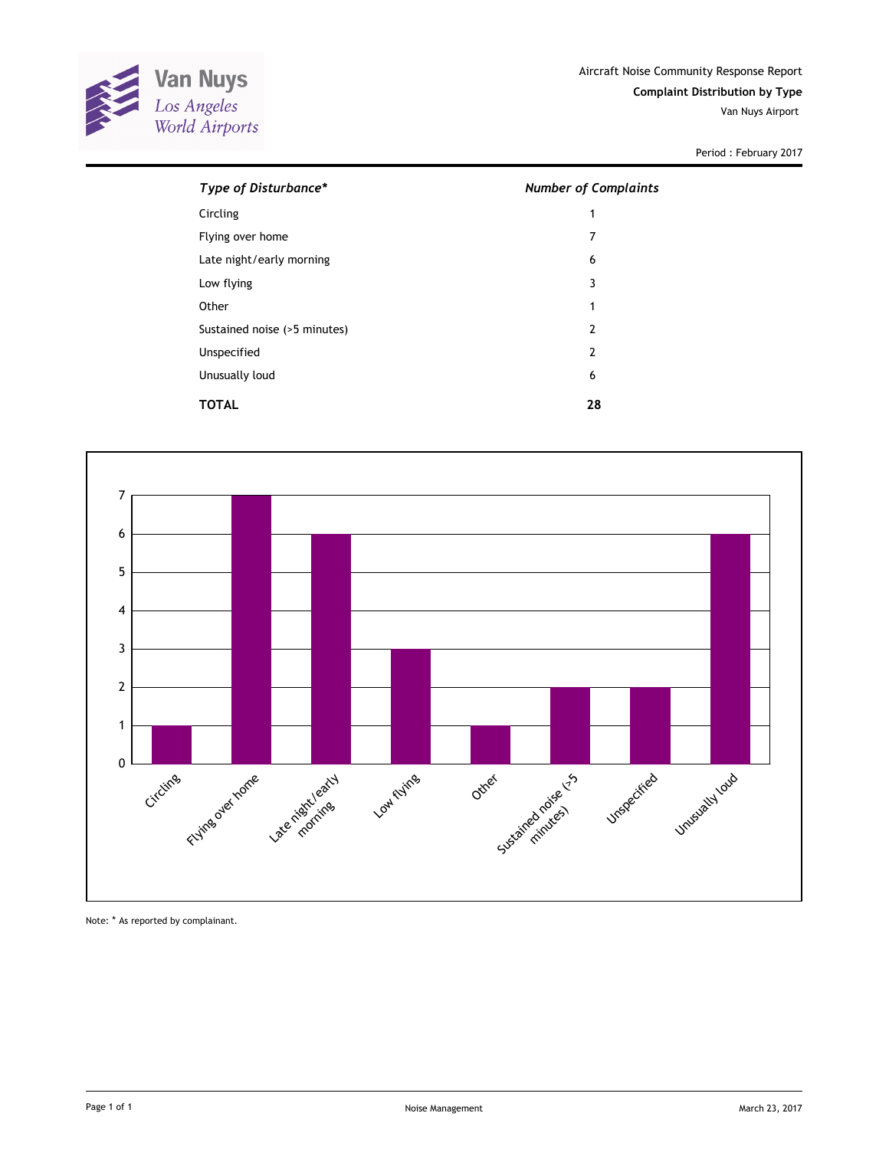

Period : February 2017

| Type of Disturbance*         | <b>Number of Complaints</b> |
|------------------------------|-----------------------------|
| Circling                     | 1                           |
| Flying over home             | 7                           |
| Late night/early morning     | 6                           |
| Low flying                   | 3                           |
| Other                        | 1                           |
| Sustained noise (>5 minutes) | $\overline{2}$              |
| Unspecified                  | 2                           |
| Unusually loud               | 6                           |
| TOTAL                        | 28                          |



Note: \* As reported by complainant.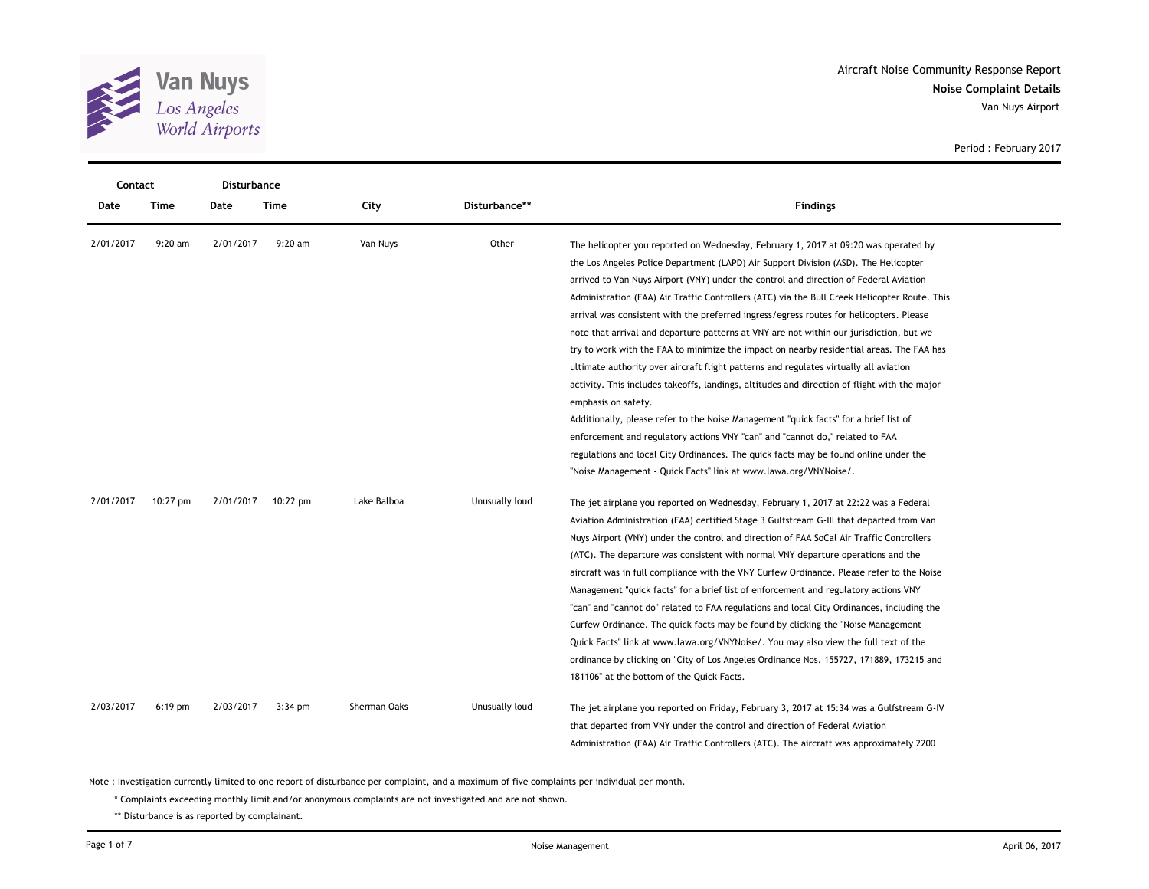

|  |  | Period: February 2017 |  |  |
|--|--|-----------------------|--|--|
|--|--|-----------------------|--|--|

| Contact   |            | Disturbance |            |              |                |                                                                                                                                                                                                                                                                                                                                                                                                                                                                                                                                                                                                                                                                                                                                                                                                                                                                                                                                                                                                                                                                                                                                                                                                           |
|-----------|------------|-------------|------------|--------------|----------------|-----------------------------------------------------------------------------------------------------------------------------------------------------------------------------------------------------------------------------------------------------------------------------------------------------------------------------------------------------------------------------------------------------------------------------------------------------------------------------------------------------------------------------------------------------------------------------------------------------------------------------------------------------------------------------------------------------------------------------------------------------------------------------------------------------------------------------------------------------------------------------------------------------------------------------------------------------------------------------------------------------------------------------------------------------------------------------------------------------------------------------------------------------------------------------------------------------------|
| Date      | Time       | Date        | Time       | City         | Disturbance**  | <b>Findings</b>                                                                                                                                                                                                                                                                                                                                                                                                                                                                                                                                                                                                                                                                                                                                                                                                                                                                                                                                                                                                                                                                                                                                                                                           |
| 2/01/2017 | $9:20$ am  | 2/01/2017   | $9:20$ am  | Van Nuys     | Other          | The helicopter you reported on Wednesday, February 1, 2017 at 09:20 was operated by<br>the Los Angeles Police Department (LAPD) Air Support Division (ASD). The Helicopter<br>arrived to Van Nuys Airport (VNY) under the control and direction of Federal Aviation<br>Administration (FAA) Air Traffic Controllers (ATC) via the Bull Creek Helicopter Route. This<br>arrival was consistent with the preferred ingress/egress routes for helicopters. Please<br>note that arrival and departure patterns at VNY are not within our jurisdiction, but we<br>try to work with the FAA to minimize the impact on nearby residential areas. The FAA has<br>ultimate authority over aircraft flight patterns and regulates virtually all aviation<br>activity. This includes takeoffs, landings, altitudes and direction of flight with the major<br>emphasis on safety.<br>Additionally, please refer to the Noise Management "quick facts" for a brief list of<br>enforcement and regulatory actions VNY "can" and "cannot do," related to FAA<br>regulations and local City Ordinances. The quick facts may be found online under the<br>"Noise Management - Quick Facts" link at www.lawa.org/VNYNoise/. |
| 2/01/2017 | $10:27$ pm | 2/01/2017   | $10:22$ pm | Lake Balboa  | Unusually loud | The jet airplane you reported on Wednesday, February 1, 2017 at 22:22 was a Federal<br>Aviation Administration (FAA) certified Stage 3 Gulfstream G-III that departed from Van<br>Nuys Airport (VNY) under the control and direction of FAA SoCal Air Traffic Controllers<br>(ATC). The departure was consistent with normal VNY departure operations and the<br>aircraft was in full compliance with the VNY Curfew Ordinance. Please refer to the Noise<br>Management "quick facts" for a brief list of enforcement and regulatory actions VNY<br>"can" and "cannot do" related to FAA regulations and local City Ordinances, including the<br>Curfew Ordinance. The quick facts may be found by clicking the "Noise Management -<br>Quick Facts" link at www.lawa.org/VNYNoise/. You may also view the full text of the<br>ordinance by clicking on "City of Los Angeles Ordinance Nos. 155727, 171889, 173215 and<br>181106" at the bottom of the Quick Facts.                                                                                                                                                                                                                                        |
| 2/03/2017 | $6:19$ pm  | 2/03/2017   | 3:34 pm    | Sherman Oaks | Unusually loud | The jet airplane you reported on Friday, February 3, 2017 at 15:34 was a Gulfstream G-IV<br>that departed from VNY under the control and direction of Federal Aviation<br>Administration (FAA) Air Traffic Controllers (ATC). The aircraft was approximately 2200                                                                                                                                                                                                                                                                                                                                                                                                                                                                                                                                                                                                                                                                                                                                                                                                                                                                                                                                         |

\* Complaints exceeding monthly limit and/or anonymous complaints are not investigated and are not shown.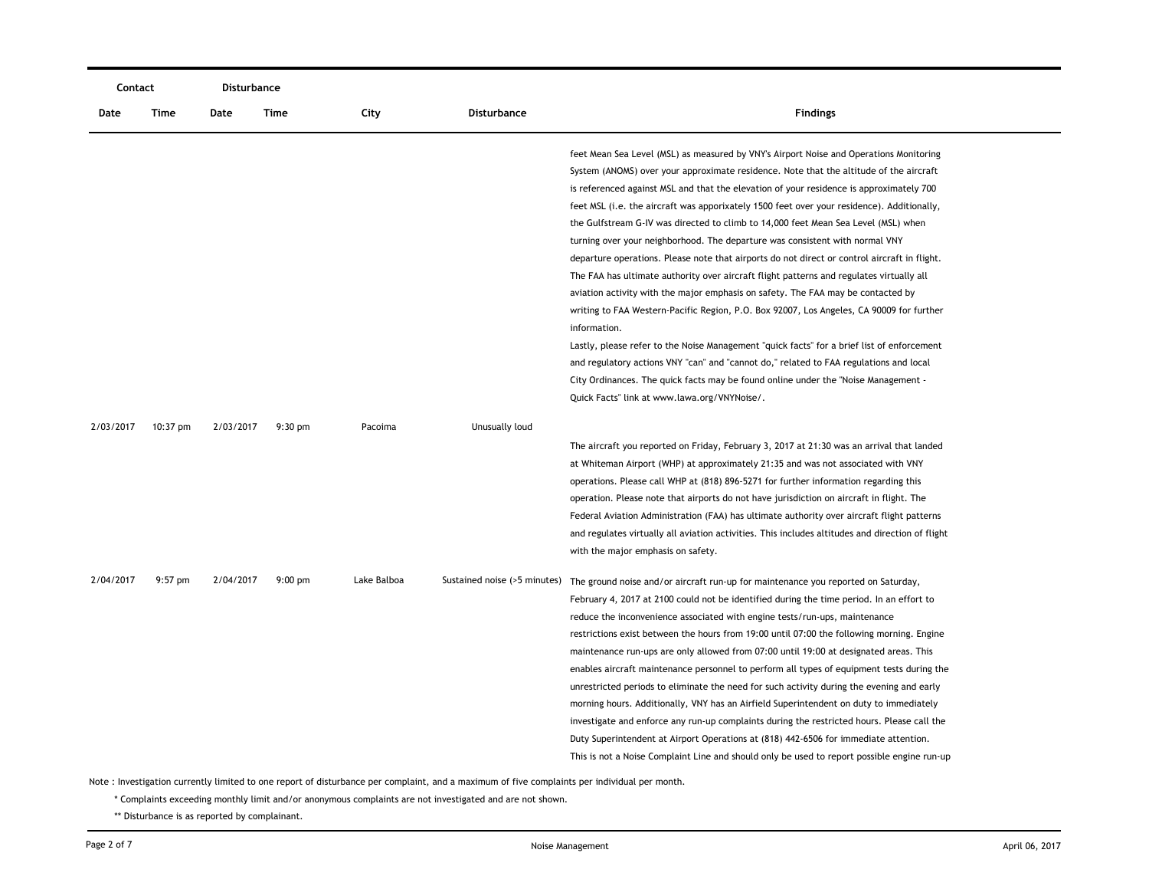| Contact   |           | <b>Disturbance</b> |                   |             |                              |                                                                                                                                                                                                                                                                                                                                                                                                                                                                                                                                                                                                                                                                                                                                                                                                                                                                                                                                                                                                                                                                                                                                                                                                                                                                           |
|-----------|-----------|--------------------|-------------------|-------------|------------------------------|---------------------------------------------------------------------------------------------------------------------------------------------------------------------------------------------------------------------------------------------------------------------------------------------------------------------------------------------------------------------------------------------------------------------------------------------------------------------------------------------------------------------------------------------------------------------------------------------------------------------------------------------------------------------------------------------------------------------------------------------------------------------------------------------------------------------------------------------------------------------------------------------------------------------------------------------------------------------------------------------------------------------------------------------------------------------------------------------------------------------------------------------------------------------------------------------------------------------------------------------------------------------------|
| Date      | Time      | Date               | Time              | City        | <b>Disturbance</b>           | <b>Findings</b>                                                                                                                                                                                                                                                                                                                                                                                                                                                                                                                                                                                                                                                                                                                                                                                                                                                                                                                                                                                                                                                                                                                                                                                                                                                           |
|           |           |                    |                   |             |                              | feet Mean Sea Level (MSL) as measured by VNY's Airport Noise and Operations Monitoring<br>System (ANOMS) over your approximate residence. Note that the altitude of the aircraft<br>is referenced against MSL and that the elevation of your residence is approximately 700<br>feet MSL (i.e. the aircraft was apporixately 1500 feet over your residence). Additionally,<br>the Gulfstream G-IV was directed to climb to 14,000 feet Mean Sea Level (MSL) when<br>turning over your neighborhood. The departure was consistent with normal VNY<br>departure operations. Please note that airports do not direct or control aircraft in flight.<br>The FAA has ultimate authority over aircraft flight patterns and regulates virtually all<br>aviation activity with the major emphasis on safety. The FAA may be contacted by<br>writing to FAA Western-Pacific Region, P.O. Box 92007, Los Angeles, CA 90009 for further<br>information.<br>Lastly, please refer to the Noise Management "quick facts" for a brief list of enforcement<br>and regulatory actions VNY "can" and "cannot do," related to FAA regulations and local<br>City Ordinances. The quick facts may be found online under the "Noise Management -<br>Quick Facts" link at www.lawa.org/VNYNoise/. |
| 2/03/2017 | 10:37 pm  | 2/03/2017          | $9:30$ pm         | Pacoima     | Unusually loud               | The aircraft you reported on Friday, February 3, 2017 at 21:30 was an arrival that landed<br>at Whiteman Airport (WHP) at approximately 21:35 and was not associated with VNY<br>operations. Please call WHP at (818) 896-5271 for further information regarding this<br>operation. Please note that airports do not have jurisdiction on aircraft in flight. The<br>Federal Aviation Administration (FAA) has ultimate authority over aircraft flight patterns<br>and regulates virtually all aviation activities. This includes altitudes and direction of flight<br>with the major emphasis on safety.                                                                                                                                                                                                                                                                                                                                                                                                                                                                                                                                                                                                                                                                 |
| 2/04/2017 | $9:57$ pm | 2/04/2017          | $9:00 \text{ pm}$ | Lake Balboa | Sustained noise (>5 minutes) | The ground noise and/or aircraft run-up for maintenance you reported on Saturday,<br>February 4, 2017 at 2100 could not be identified during the time period. In an effort to<br>reduce the inconvenience associated with engine tests/run-ups, maintenance<br>restrictions exist between the hours from 19:00 until 07:00 the following morning. Engine<br>maintenance run-ups are only allowed from 07:00 until 19:00 at designated areas. This<br>enables aircraft maintenance personnel to perform all types of equipment tests during the<br>unrestricted periods to eliminate the need for such activity during the evening and early<br>morning hours. Additionally, VNY has an Airfield Superintendent on duty to immediately<br>investigate and enforce any run-up complaints during the restricted hours. Please call the<br>Duty Superintendent at Airport Operations at (818) 442-6506 for immediate attention.<br>This is not a Noise Complaint Line and should only be used to report possible engine run-up                                                                                                                                                                                                                                                |

\* Complaints exceeding monthly limit and/or anonymous complaints are not investigated and are not shown.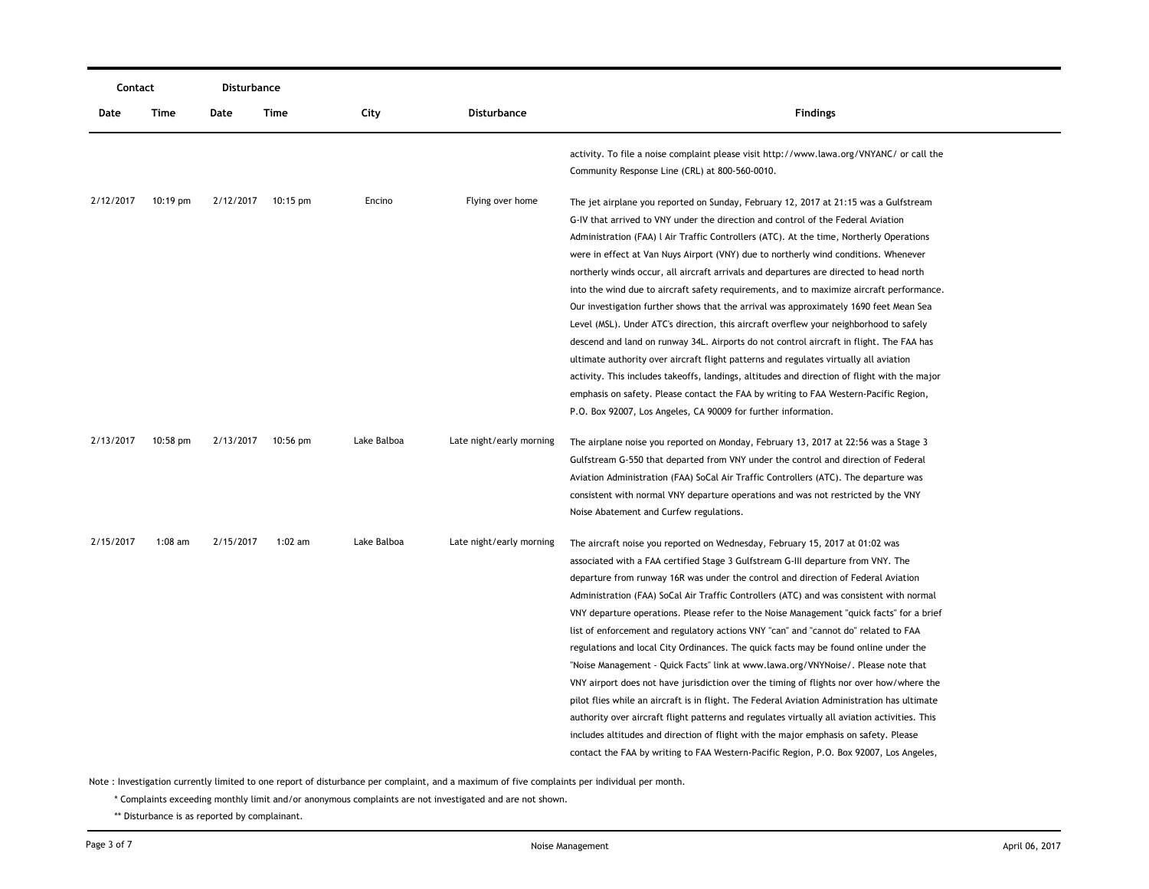| Contact   |            | Disturbance |                    |             |                          |                                                                                                                                                                                                                                                                                                                                                                                                                                                                                                                                                                                                                                                                                                                                                                                                                                                                                                                                                                                                                                                                                                                                                                                                 |
|-----------|------------|-------------|--------------------|-------------|--------------------------|-------------------------------------------------------------------------------------------------------------------------------------------------------------------------------------------------------------------------------------------------------------------------------------------------------------------------------------------------------------------------------------------------------------------------------------------------------------------------------------------------------------------------------------------------------------------------------------------------------------------------------------------------------------------------------------------------------------------------------------------------------------------------------------------------------------------------------------------------------------------------------------------------------------------------------------------------------------------------------------------------------------------------------------------------------------------------------------------------------------------------------------------------------------------------------------------------|
| Date      | Time       | Date        | Time               | City        | Disturbance              | <b>Findings</b>                                                                                                                                                                                                                                                                                                                                                                                                                                                                                                                                                                                                                                                                                                                                                                                                                                                                                                                                                                                                                                                                                                                                                                                 |
|           |            |             |                    |             |                          | activity. To file a noise complaint please visit http://www.lawa.org/VNYANC/ or call the<br>Community Response Line (CRL) at 800-560-0010.                                                                                                                                                                                                                                                                                                                                                                                                                                                                                                                                                                                                                                                                                                                                                                                                                                                                                                                                                                                                                                                      |
| 2/12/2017 | $10:19$ pm |             | 2/12/2017 10:15 pm | Encino      | Flying over home         | The jet airplane you reported on Sunday, February 12, 2017 at 21:15 was a Gulfstream<br>G-IV that arrived to VNY under the direction and control of the Federal Aviation<br>Administration (FAA) L Air Traffic Controllers (ATC). At the time, Northerly Operations<br>were in effect at Van Nuys Airport (VNY) due to northerly wind conditions. Whenever<br>northerly winds occur, all aircraft arrivals and departures are directed to head north<br>into the wind due to aircraft safety requirements, and to maximize aircraft performance.<br>Our investigation further shows that the arrival was approximately 1690 feet Mean Sea<br>Level (MSL). Under ATC's direction, this aircraft overflew your neighborhood to safely<br>descend and land on runway 34L. Airports do not control aircraft in flight. The FAA has<br>ultimate authority over aircraft flight patterns and regulates virtually all aviation<br>activity. This includes takeoffs, landings, altitudes and direction of flight with the major<br>emphasis on safety. Please contact the FAA by writing to FAA Western-Pacific Region,<br>P.O. Box 92007, Los Angeles, CA 90009 for further information.               |
| 2/13/2017 | $10:58$ pm | 2/13/2017   | 10:56 pm           | Lake Balboa | Late night/early morning | The airplane noise you reported on Monday, February 13, 2017 at 22:56 was a Stage 3<br>Gulfstream G-550 that departed from VNY under the control and direction of Federal<br>Aviation Administration (FAA) SoCal Air Traffic Controllers (ATC). The departure was<br>consistent with normal VNY departure operations and was not restricted by the VNY<br>Noise Abatement and Curfew regulations.                                                                                                                                                                                                                                                                                                                                                                                                                                                                                                                                                                                                                                                                                                                                                                                               |
| 2/15/2017 | $1:08$ am  | 2/15/2017   | $1:02$ am          | Lake Balboa | Late night/early morning | The aircraft noise you reported on Wednesday, February 15, 2017 at 01:02 was<br>associated with a FAA certified Stage 3 Gulfstream G-III departure from VNY. The<br>departure from runway 16R was under the control and direction of Federal Aviation<br>Administration (FAA) SoCal Air Traffic Controllers (ATC) and was consistent with normal<br>VNY departure operations. Please refer to the Noise Management "quick facts" for a brief<br>list of enforcement and regulatory actions VNY "can" and "cannot do" related to FAA<br>regulations and local City Ordinances. The quick facts may be found online under the<br>"Noise Management - Quick Facts" link at www.lawa.org/VNYNoise/. Please note that<br>VNY airport does not have jurisdiction over the timing of flights nor over how/where the<br>pilot flies while an aircraft is in flight. The Federal Aviation Administration has ultimate<br>authority over aircraft flight patterns and regulates virtually all aviation activities. This<br>includes altitudes and direction of flight with the major emphasis on safety. Please<br>contact the FAA by writing to FAA Western-Pacific Region, P.O. Box 92007, Los Angeles, |

\* Complaints exceeding monthly limit and/or anonymous complaints are not investigated and are not shown.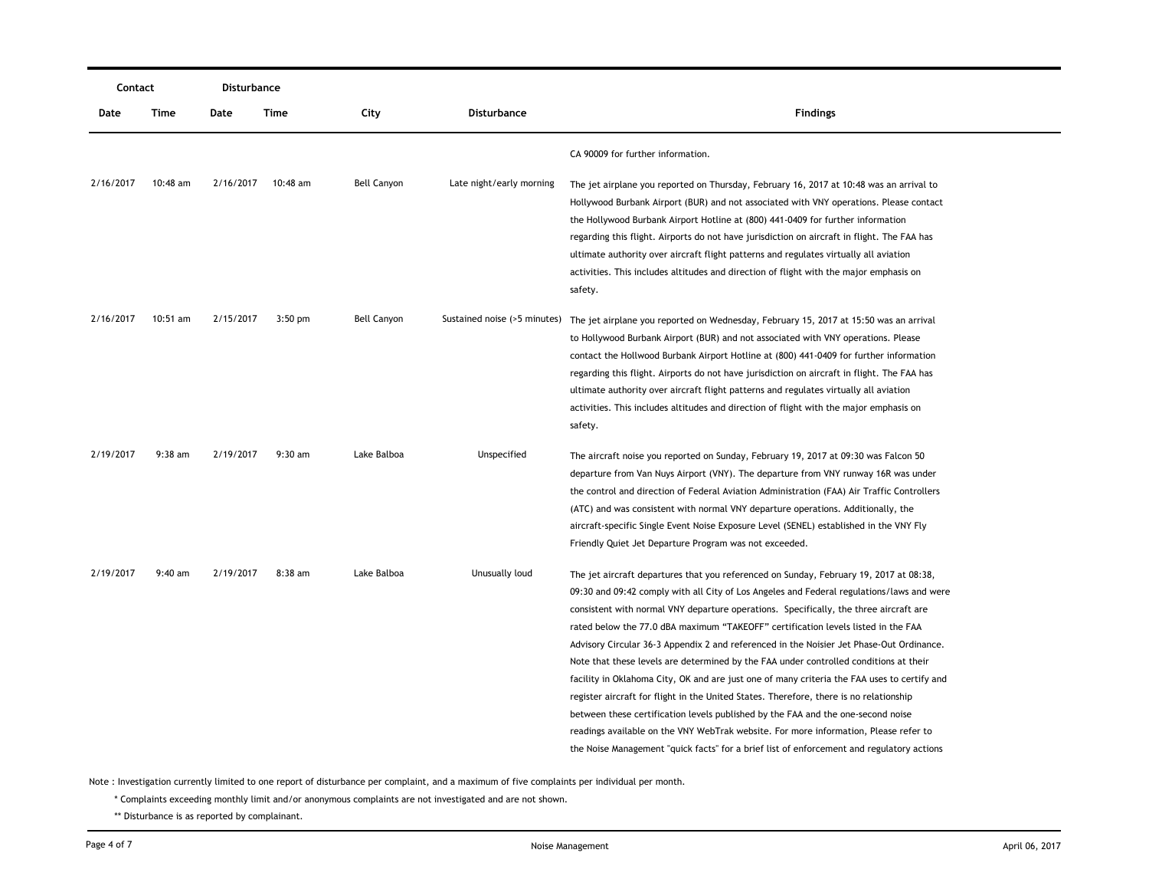| Contact   |            | Disturbance |           |                    |                              |                                                                                             |  |  |
|-----------|------------|-------------|-----------|--------------------|------------------------------|---------------------------------------------------------------------------------------------|--|--|
| Date      | Time       | Date        | Time      | City               | Disturbance                  | <b>Findings</b>                                                                             |  |  |
|           |            |             |           |                    |                              | CA 90009 for further information.                                                           |  |  |
| 2/16/2017 | $10:48$ am | 2/16/2017   | 10:48 am  | <b>Bell Canyon</b> | Late night/early morning     | The jet airplane you reported on Thursday, February 16, 2017 at 10:48 was an arrival to     |  |  |
|           |            |             |           |                    |                              | Hollywood Burbank Airport (BUR) and not associated with VNY operations. Please contact      |  |  |
|           |            |             |           |                    |                              | the Hollywood Burbank Airport Hotline at (800) 441-0409 for further information             |  |  |
|           |            |             |           |                    |                              | regarding this flight. Airports do not have jurisdiction on aircraft in flight. The FAA has |  |  |
|           |            |             |           |                    |                              | ultimate authority over aircraft flight patterns and regulates virtually all aviation       |  |  |
|           |            |             |           |                    |                              | activities. This includes altitudes and direction of flight with the major emphasis on      |  |  |
|           |            |             |           |                    |                              | safety.                                                                                     |  |  |
| 2/16/2017 | $10:51$ am | 2/15/2017   | $3:50$ pm | <b>Bell Canyon</b> | Sustained noise (>5 minutes) | The jet airplane you reported on Wednesday, February 15, 2017 at 15:50 was an arrival       |  |  |
|           |            |             |           |                    |                              | to Hollywood Burbank Airport (BUR) and not associated with VNY operations. Please           |  |  |
|           |            |             |           |                    |                              | contact the Hollwood Burbank Airport Hotline at (800) 441-0409 for further information      |  |  |
|           |            |             |           |                    |                              | regarding this flight. Airports do not have jurisdiction on aircraft in flight. The FAA has |  |  |
|           |            |             |           |                    |                              | ultimate authority over aircraft flight patterns and regulates virtually all aviation       |  |  |
|           |            |             |           |                    |                              | activities. This includes altitudes and direction of flight with the major emphasis on      |  |  |
|           |            |             |           |                    |                              | safety.                                                                                     |  |  |
| 2/19/2017 | $9:38$ am  | 2/19/2017   | $9:30$ am | Lake Balboa        | Unspecified                  | The aircraft noise you reported on Sunday, February 19, 2017 at 09:30 was Falcon 50         |  |  |
|           |            |             |           |                    |                              | departure from Van Nuys Airport (VNY). The departure from VNY runway 16R was under          |  |  |
|           |            |             |           |                    |                              | the control and direction of Federal Aviation Administration (FAA) Air Traffic Controllers  |  |  |
|           |            |             |           |                    |                              | (ATC) and was consistent with normal VNY departure operations. Additionally, the            |  |  |
|           |            |             |           |                    |                              | aircraft-specific Single Event Noise Exposure Level (SENEL) established in the VNY Fly      |  |  |
|           |            |             |           |                    |                              | Friendly Quiet Jet Departure Program was not exceeded.                                      |  |  |
| 2/19/2017 | $9:40$ am  | 2/19/2017   | 8:38 am   | Lake Balboa        | Unusually loud               | The jet aircraft departures that you referenced on Sunday, February 19, 2017 at 08:38,      |  |  |
|           |            |             |           |                    |                              | 09:30 and 09:42 comply with all City of Los Angeles and Federal regulations/laws and were   |  |  |
|           |            |             |           |                    |                              | consistent with normal VNY departure operations. Specifically, the three aircraft are       |  |  |
|           |            |             |           |                    |                              | rated below the 77.0 dBA maximum "TAKEOFF" certification levels listed in the FAA           |  |  |
|           |            |             |           |                    |                              | Advisory Circular 36-3 Appendix 2 and referenced in the Noisier Jet Phase-Out Ordinance.    |  |  |
|           |            |             |           |                    |                              | Note that these levels are determined by the FAA under controlled conditions at their       |  |  |
|           |            |             |           |                    |                              | facility in Oklahoma City, OK and are just one of many criteria the FAA uses to certify and |  |  |
|           |            |             |           |                    |                              | register aircraft for flight in the United States. Therefore, there is no relationship      |  |  |
|           |            |             |           |                    |                              | between these certification levels published by the FAA and the one-second noise            |  |  |
|           |            |             |           |                    |                              | readings available on the VNY WebTrak website. For more information, Please refer to        |  |  |
|           |            |             |           |                    |                              | the Noise Management "quick facts" for a brief list of enforcement and regulatory actions   |  |  |

\* Complaints exceeding monthly limit and/or anonymous complaints are not investigated and are not shown.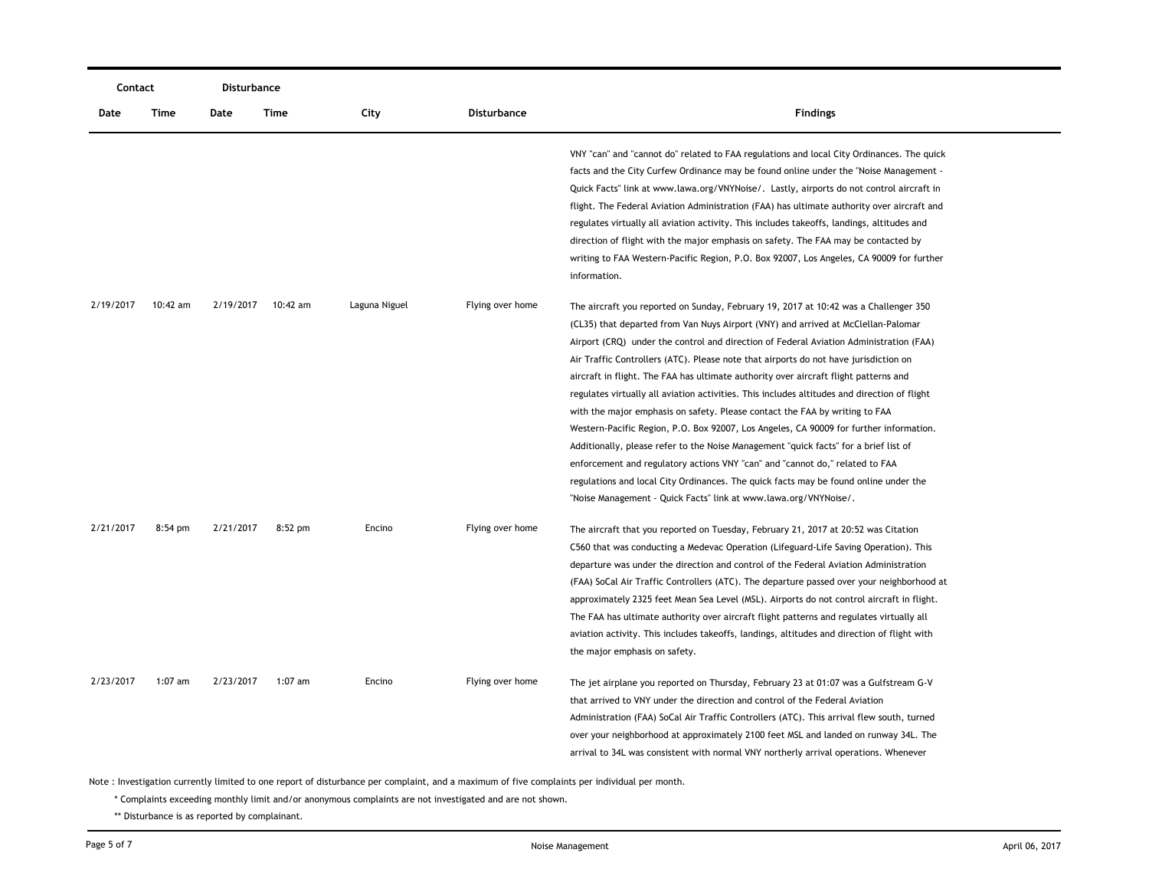| Contact   |            | Disturbance |           |               |                  |                                                                                                                                                                                                                                                                                                                                                                                                                                                                                                                                                                                                                                                                                                                                                                                                                                                                                                                                                                                                                                                                  |
|-----------|------------|-------------|-----------|---------------|------------------|------------------------------------------------------------------------------------------------------------------------------------------------------------------------------------------------------------------------------------------------------------------------------------------------------------------------------------------------------------------------------------------------------------------------------------------------------------------------------------------------------------------------------------------------------------------------------------------------------------------------------------------------------------------------------------------------------------------------------------------------------------------------------------------------------------------------------------------------------------------------------------------------------------------------------------------------------------------------------------------------------------------------------------------------------------------|
| Date      | Time       | Date        | Time      | City          | Disturbance      | <b>Findings</b>                                                                                                                                                                                                                                                                                                                                                                                                                                                                                                                                                                                                                                                                                                                                                                                                                                                                                                                                                                                                                                                  |
|           |            |             |           |               |                  | VNY "can" and "cannot do" related to FAA regulations and local City Ordinances. The quick<br>facts and the City Curfew Ordinance may be found online under the "Noise Management -<br>Quick Facts" link at www.lawa.org/VNYNoise/. Lastly, airports do not control aircraft in<br>flight. The Federal Aviation Administration (FAA) has ultimate authority over aircraft and<br>regulates virtually all aviation activity. This includes takeoffs, landings, altitudes and<br>direction of flight with the major emphasis on safety. The FAA may be contacted by<br>writing to FAA Western-Pacific Region, P.O. Box 92007, Los Angeles, CA 90009 for further<br>information.                                                                                                                                                                                                                                                                                                                                                                                     |
| 2/19/2017 | $10:42$ am | 2/19/2017   | 10:42 am  | Laguna Niguel | Flying over home | The aircraft you reported on Sunday, February 19, 2017 at 10:42 was a Challenger 350<br>(CL35) that departed from Van Nuys Airport (VNY) and arrived at McClellan-Palomar<br>Airport (CRQ) under the control and direction of Federal Aviation Administration (FAA)<br>Air Traffic Controllers (ATC). Please note that airports do not have jurisdiction on<br>aircraft in flight. The FAA has ultimate authority over aircraft flight patterns and<br>regulates virtually all aviation activities. This includes altitudes and direction of flight<br>with the major emphasis on safety. Please contact the FAA by writing to FAA<br>Western-Pacific Region, P.O. Box 92007, Los Angeles, CA 90009 for further information.<br>Additionally, please refer to the Noise Management "quick facts" for a brief list of<br>enforcement and regulatory actions VNY "can" and "cannot do," related to FAA<br>regulations and local City Ordinances. The quick facts may be found online under the<br>"Noise Management - Quick Facts" link at www.lawa.org/VNYNoise/. |
| 2/21/2017 | $8:54$ pm  | 2/21/2017   | $8:52$ pm | Encino        | Flying over home | The aircraft that you reported on Tuesday, February 21, 2017 at 20:52 was Citation<br>C560 that was conducting a Medevac Operation (Lifeguard-Life Saving Operation). This<br>departure was under the direction and control of the Federal Aviation Administration<br>(FAA) SoCal Air Traffic Controllers (ATC). The departure passed over your neighborhood at<br>approximately 2325 feet Mean Sea Level (MSL). Airports do not control aircraft in flight.<br>The FAA has ultimate authority over aircraft flight patterns and regulates virtually all<br>aviation activity. This includes takeoffs, landings, altitudes and direction of flight with<br>the major emphasis on safety.                                                                                                                                                                                                                                                                                                                                                                         |
| 2/23/2017 | $1:07$ am  | 2/23/2017   | $1:07$ am | Encino        | Flying over home | The jet airplane you reported on Thursday, February 23 at 01:07 was a Gulfstream G-V<br>that arrived to VNY under the direction and control of the Federal Aviation<br>Administration (FAA) SoCal Air Traffic Controllers (ATC). This arrival flew south, turned<br>over your neighborhood at approximately 2100 feet MSL and landed on runway 34L. The<br>arrival to 34L was consistent with normal VNY northerly arrival operations. Whenever                                                                                                                                                                                                                                                                                                                                                                                                                                                                                                                                                                                                                  |

\* Complaints exceeding monthly limit and/or anonymous complaints are not investigated and are not shown.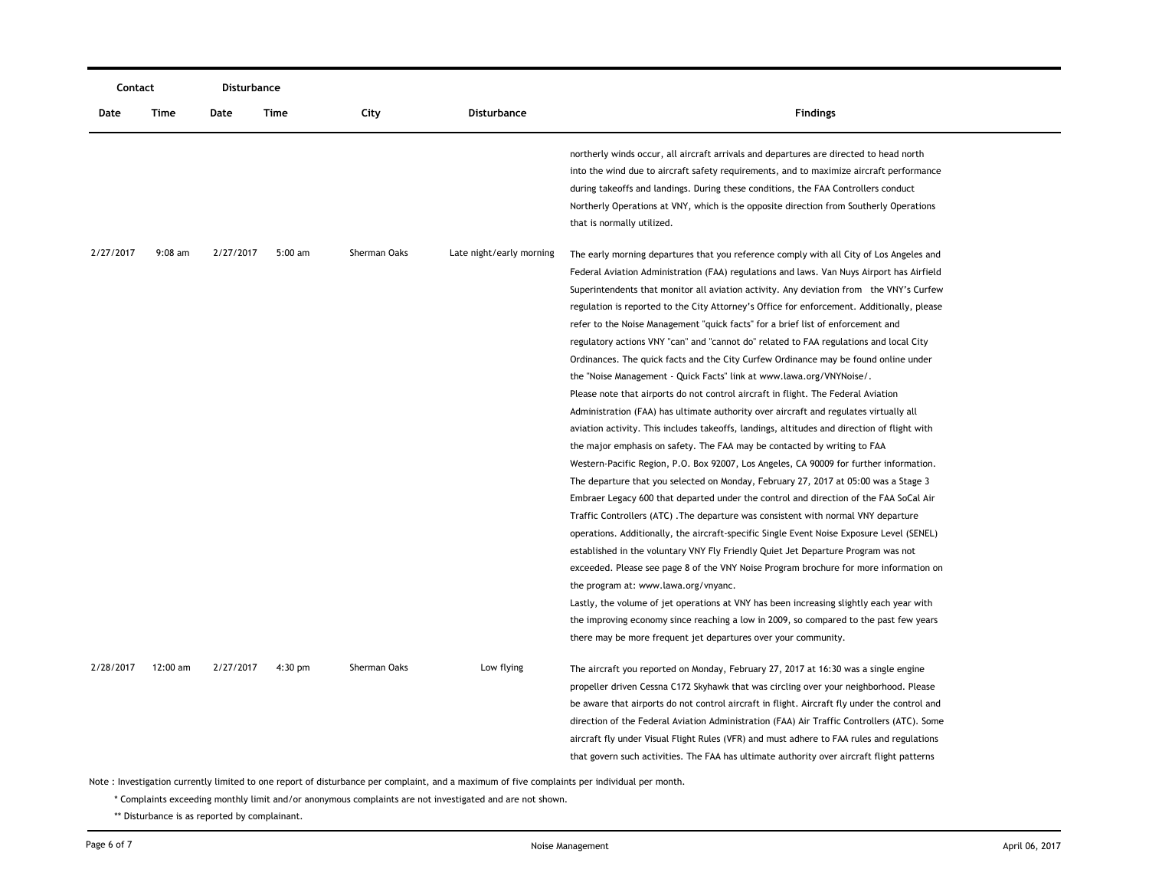| Contact   |           | Disturbance |           |              |                          |                                                                                                                                                                                                                                                                                                                                                                                                                                                                                                                                                                                                                                                                                                                                                                                                                                                                                                                                                                                                                                                                                                                                                                                                                                                                                                                                                                                                                                                                                                                                                                                                                                                                                                                                                                                                                                                                                                                                                                                                                            |
|-----------|-----------|-------------|-----------|--------------|--------------------------|----------------------------------------------------------------------------------------------------------------------------------------------------------------------------------------------------------------------------------------------------------------------------------------------------------------------------------------------------------------------------------------------------------------------------------------------------------------------------------------------------------------------------------------------------------------------------------------------------------------------------------------------------------------------------------------------------------------------------------------------------------------------------------------------------------------------------------------------------------------------------------------------------------------------------------------------------------------------------------------------------------------------------------------------------------------------------------------------------------------------------------------------------------------------------------------------------------------------------------------------------------------------------------------------------------------------------------------------------------------------------------------------------------------------------------------------------------------------------------------------------------------------------------------------------------------------------------------------------------------------------------------------------------------------------------------------------------------------------------------------------------------------------------------------------------------------------------------------------------------------------------------------------------------------------------------------------------------------------------------------------------------------------|
| Date      | Time      | Date        | Time      | City         | Disturbance              | <b>Findings</b>                                                                                                                                                                                                                                                                                                                                                                                                                                                                                                                                                                                                                                                                                                                                                                                                                                                                                                                                                                                                                                                                                                                                                                                                                                                                                                                                                                                                                                                                                                                                                                                                                                                                                                                                                                                                                                                                                                                                                                                                            |
|           |           |             |           |              |                          | northerly winds occur, all aircraft arrivals and departures are directed to head north<br>into the wind due to aircraft safety requirements, and to maximize aircraft performance<br>during takeoffs and landings. During these conditions, the FAA Controllers conduct<br>Northerly Operations at VNY, which is the opposite direction from Southerly Operations<br>that is normally utilized.                                                                                                                                                                                                                                                                                                                                                                                                                                                                                                                                                                                                                                                                                                                                                                                                                                                                                                                                                                                                                                                                                                                                                                                                                                                                                                                                                                                                                                                                                                                                                                                                                            |
| 2/27/2017 | $9:08$ am | 2/27/2017   | $5:00$ am | Sherman Oaks | Late night/early morning | The early morning departures that you reference comply with all City of Los Angeles and<br>Federal Aviation Administration (FAA) regulations and laws. Van Nuys Airport has Airfield<br>Superintendents that monitor all aviation activity. Any deviation from the VNY's Curfew<br>regulation is reported to the City Attorney's Office for enforcement. Additionally, please<br>refer to the Noise Management "quick facts" for a brief list of enforcement and<br>regulatory actions VNY "can" and "cannot do" related to FAA regulations and local City<br>Ordinances. The quick facts and the City Curfew Ordinance may be found online under<br>the "Noise Management - Quick Facts" link at www.lawa.org/VNYNoise/.<br>Please note that airports do not control aircraft in flight. The Federal Aviation<br>Administration (FAA) has ultimate authority over aircraft and regulates virtually all<br>aviation activity. This includes takeoffs, landings, altitudes and direction of flight with<br>the major emphasis on safety. The FAA may be contacted by writing to FAA<br>Western-Pacific Region, P.O. Box 92007, Los Angeles, CA 90009 for further information.<br>The departure that you selected on Monday, February 27, 2017 at 05:00 was a Stage 3<br>Embraer Legacy 600 that departed under the control and direction of the FAA SoCal Air<br>Traffic Controllers (ATC). The departure was consistent with normal VNY departure<br>operations. Additionally, the aircraft-specific Single Event Noise Exposure Level (SENEL)<br>established in the voluntary VNY Fly Friendly Quiet Jet Departure Program was not<br>exceeded. Please see page 8 of the VNY Noise Program brochure for more information on<br>the program at: www.lawa.org/vnyanc.<br>Lastly, the volume of jet operations at VNY has been increasing slightly each year with<br>the improving economy since reaching a low in 2009, so compared to the past few years<br>there may be more frequent jet departures over your community. |
| 2/28/2017 | 12:00 am  | 2/27/2017   | $4:30$ pm | Sherman Oaks | Low flying               | The aircraft you reported on Monday, February 27, 2017 at 16:30 was a single engine<br>propeller driven Cessna C172 Skyhawk that was circling over your neighborhood. Please<br>be aware that airports do not control aircraft in flight. Aircraft fly under the control and<br>direction of the Federal Aviation Administration (FAA) Air Traffic Controllers (ATC). Some<br>aircraft fly under Visual Flight Rules (VFR) and must adhere to FAA rules and regulations<br>that govern such activities. The FAA has ultimate authority over aircraft flight patterns                                                                                                                                                                                                                                                                                                                                                                                                                                                                                                                                                                                                                                                                                                                                                                                                                                                                                                                                                                                                                                                                                                                                                                                                                                                                                                                                                                                                                                                       |

\* Complaints exceeding monthly limit and/or anonymous complaints are not investigated and are not shown.